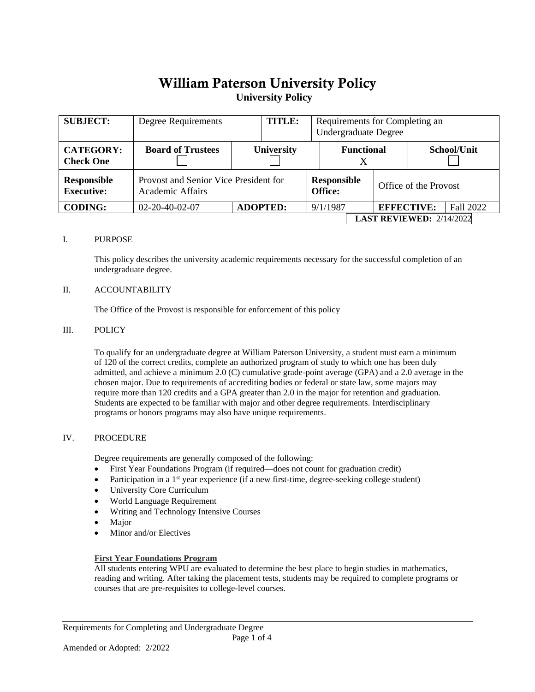# William Paterson University Policy **University Policy**

| <b>SUBJECT:</b>                         | Degree Requirements      |                                       | <b>TITLE:</b>   |          | Requirements for Completing an<br><b>Undergraduate Degree</b> |                   |                       |                                   |           |
|-----------------------------------------|--------------------------|---------------------------------------|-----------------|----------|---------------------------------------------------------------|-------------------|-----------------------|-----------------------------------|-----------|
| <b>CATEGORY:</b><br><b>Check One</b>    | <b>Board of Trustees</b> | <b>University</b>                     |                 |          | <b>Functional</b>                                             |                   |                       | School/Unit                       |           |
| <b>Responsible</b><br><b>Executive:</b> | Academic Affairs         | Provost and Senior Vice President for |                 |          | <b>Responsible</b><br>Office:                                 |                   | Office of the Provost |                                   |           |
| <b>CODING:</b>                          | $02 - 20 - 40 - 02 - 07$ |                                       | <b>ADOPTED:</b> | 9/1/1987 |                                                               | <b>EFFECTIVE:</b> |                       |                                   | Fall 2022 |
|                                         |                          |                                       |                 |          |                                                               |                   |                       | <b>LAST REVIEWED:</b> $2/14/2022$ |           |

### I. PURPOSE

This policy describes the university academic requirements necessary for the successful completion of an undergraduate degree.

#### II. ACCOUNTABILITY

The Office of the Provost is responsible for enforcement of this policy

#### III. POLICY

To qualify for an undergraduate degree at William Paterson University, a student must earn a minimum of 120 of the correct credits, complete an authorized program of study to which one has been duly admitted, and achieve a minimum 2.0 (C) cumulative grade-point average (GPA) and a 2.0 average in the chosen major. Due to requirements of accrediting bodies or federal or state law, some majors may require more than 120 credits and a GPA greater than 2.0 in the major for retention and graduation. Students are expected to be familiar with major and other degree requirements. Interdisciplinary programs or honors programs may also have unique requirements.

### IV. PROCEDURE

Degree requirements are generally composed of the following:

- First Year Foundations Program (if required—does not count for graduation credit)
- Participation in a  $1<sup>st</sup>$  year experience (if a new first-time, degree-seeking college student)
- University Core Curriculum
- World Language Requirement
- Writing and Technology Intensive Courses
- Major
- Minor and/or Electives

### **First Year Foundations Program**

All students entering WPU are evaluated to determine the best place to begin studies in mathematics, reading and writing. After taking the placement tests, students may be required to complete programs or courses that are pre-requisites to college-level courses.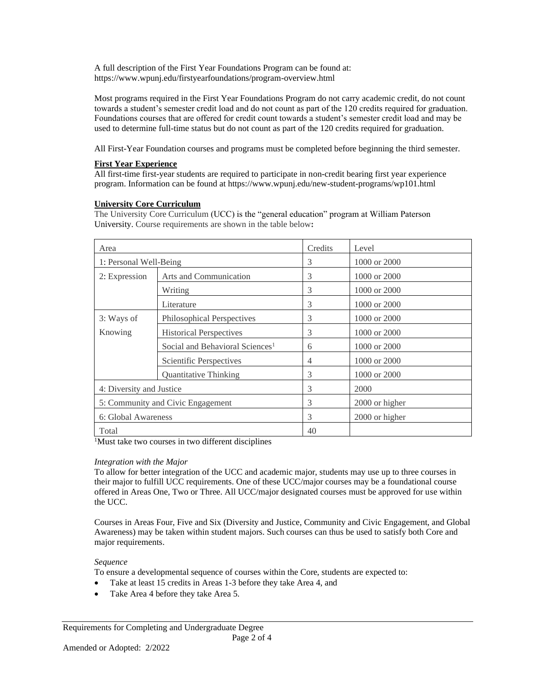A full description of the First Year Foundations Program can be found at: https://www.wpunj.edu/firstyearfoundations/program-overview.html

Most programs required in the First Year Foundations Program do not carry academic credit, do not count towards a student's semester credit load and do not count as part of the 120 credits required for graduation. Foundations courses that are offered for credit count towards a student's semester credit load and may be used to determine full-time status but do not count as part of the 120 credits required for graduation.

All First-Year Foundation courses and programs must be completed before beginning the third semester.

# **First Year Experience**

All first-time first-year students are required to participate in non-credit bearing first year experience program. Information can be found at https://www.wpunj.edu/new-student-programs/wp101.html

## **University Core Curriculum**

The University Core Curriculum (UCC) is the "general education" program at William Paterson University. Course requirements are shown in the table below**:**

| Area                              |                                             | Credits        | Level            |
|-----------------------------------|---------------------------------------------|----------------|------------------|
| 1: Personal Well-Being            |                                             | 3              | 1000 or 2000     |
| 2: Expression                     | Arts and Communication                      | 3              | 1000 or 2000     |
|                                   | Writing                                     | 3              | $1000$ or $2000$ |
|                                   | Literature                                  | 3              | 1000 or 2000     |
| 3: Ways of                        | Philosophical Perspectives                  | 3              | 1000 or 2000     |
| Knowing                           | <b>Historical Perspectives</b>              | 3              | $1000$ or $2000$ |
|                                   | Social and Behavioral Sciences <sup>1</sup> | 6              | 1000 or 2000     |
|                                   | Scientific Perspectives                     | $\overline{4}$ | 1000 or 2000     |
|                                   | <b>Quantitative Thinking</b>                | 3              | 1000 or 2000     |
| 4: Diversity and Justice          |                                             | 3              | 2000             |
| 5: Community and Civic Engagement |                                             | 3              | 2000 or higher   |
| 6: Global Awareness               |                                             | 3              | 2000 or higher   |
| Total                             |                                             | 40             |                  |

<sup>1</sup>Must take two courses in two different disciplines

## *Integration with the Major*

To allow for better integration of the UCC and academic major, students may use up to three courses in their major to fulfill UCC requirements. One of these UCC/major courses may be a foundational course offered in Areas One, Two or Three. All UCC/major designated courses must be approved for use within the UCC.

Courses in Areas Four, Five and Six (Diversity and Justice, Community and Civic Engagement, and Global Awareness) may be taken within student majors. Such courses can thus be used to satisfy both Core and major requirements.

## *Sequence*

To ensure a developmental sequence of courses within the Core, students are expected to:

- Take at least 15 credits in Areas 1-3 before they take Area 4, and
- Take Area 4 before they take Area 5.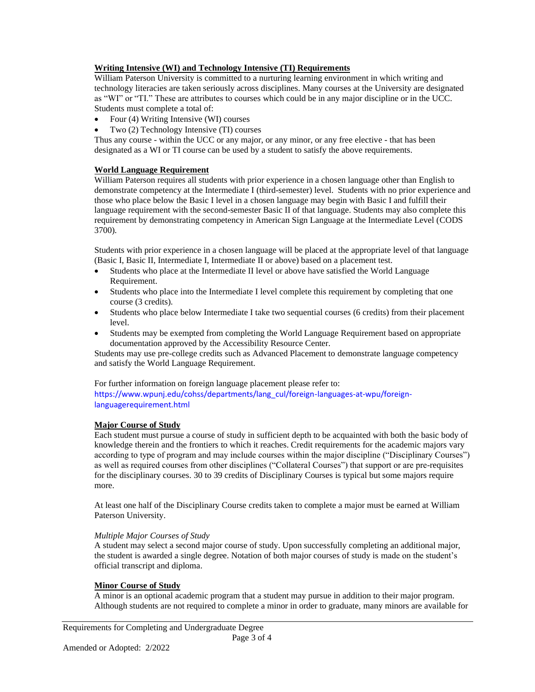# **Writing Intensive (WI) and Technology Intensive (TI) Requirements**

William Paterson University is committed to a nurturing learning environment in which writing and technology literacies are taken seriously across disciplines. Many courses at the University are designated as "WI" or "TI." These are attributes to courses which could be in any major discipline or in the UCC. Students must complete a total of:

- Four (4) Writing Intensive (WI) courses
- Two (2) Technology Intensive (TI) courses

Thus any course - within the UCC or any major, or any minor, or any free elective - that has been designated as a WI or TI course can be used by a student to satisfy the above requirements.

## **World Language Requirement**

William Paterson requires all students with prior experience in a chosen language other than English to demonstrate competency at the Intermediate I (third-semester) level. Students with no prior experience and those who place below the Basic I level in a chosen language may begin with Basic I and fulfill their language requirement with the second-semester Basic II of that language. Students may also complete this requirement by demonstrating competency in American Sign Language at the Intermediate Level (CODS 3700).

Students with prior experience in a chosen language will be placed at the appropriate level of that language (Basic I, Basic II, Intermediate I, Intermediate II or above) based on a placement test.

- Students who place at the Intermediate II level or above have satisfied the World Language Requirement.
- Students who place into the Intermediate I level complete this requirement by completing that one course (3 credits).
- Students who place below Intermediate I take two sequential courses (6 credits) from their placement level.
- Students may be exempted from completing the World Language Requirement based on appropriate documentation approved by the Accessibility Resource Center.

Students may use pre-college credits such as Advanced Placement to demonstrate language competency and satisfy the World Language Requirement.

For further information on foreign language placement please refer to: https://www.wpunj.edu/cohss/departments/lang\_cul/foreign-languages-at-wpu/foreignlanguagerequirement.html

# **Major Course of Study**

Each student must pursue a course of study in sufficient depth to be acquainted with both the basic body of knowledge therein and the frontiers to which it reaches. Credit requirements for the academic majors vary according to type of program and may include courses within the major discipline ("Disciplinary Courses") as well as required courses from other disciplines ("Collateral Courses") that support or are pre-requisites for the disciplinary courses. 30 to 39 credits of Disciplinary Courses is typical but some majors require more.

At least one half of the Disciplinary Course credits taken to complete a major must be earned at William Paterson University.

### *Multiple Major Courses of Study*

A student may select a second major course of study. Upon successfully completing an additional major, the student is awarded a single degree. Notation of both major courses of study is made on the student's official transcript and diploma.

### **Minor Course of Study**

A minor is an optional academic program that a student may pursue in addition to their major program. Although students are not required to complete a minor in order to graduate, many minors are available for